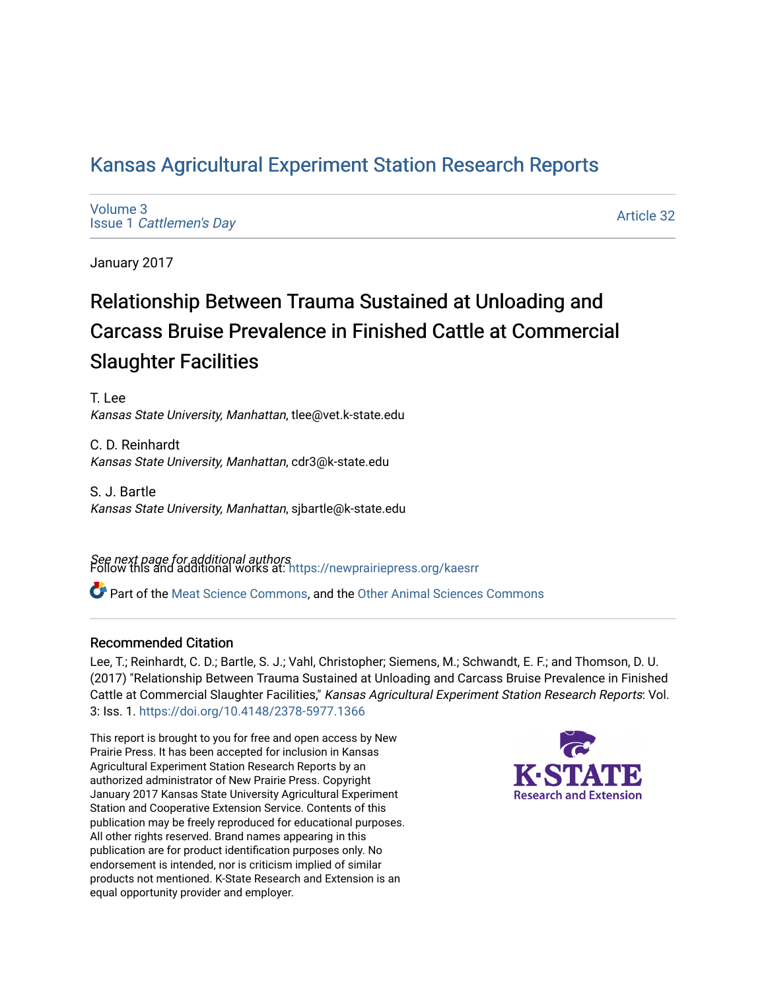## [Kansas Agricultural Experiment Station Research Reports](https://newprairiepress.org/kaesrr)

[Volume 3](https://newprairiepress.org/kaesrr/vol3) Issue 1 [Cattlemen's Day](https://newprairiepress.org/kaesrr/vol3/iss1) 

[Article 32](https://newprairiepress.org/kaesrr/vol3/iss1/32) 

January 2017

## Relationship Between Trauma Sustained at Unloading and Carcass Bruise Prevalence in Finished Cattle at Commercial Slaughter Facilities

T. Lee Kansas State University, Manhattan, tlee@vet.k-state.edu

C. D. Reinhardt Kansas State University, Manhattan, cdr3@k-state.edu

S. J. Bartle Kansas State University, Manhattan, sjbartle@k-state.edu

**See next page for additional authors**<br>Follow this and additional works at: https://newprairiepress.org/kaesrr

Part of the [Meat Science Commons,](http://network.bepress.com/hgg/discipline/1301?utm_source=newprairiepress.org%2Fkaesrr%2Fvol3%2Fiss1%2F32&utm_medium=PDF&utm_campaign=PDFCoverPages) and the [Other Animal Sciences Commons](http://network.bepress.com/hgg/discipline/82?utm_source=newprairiepress.org%2Fkaesrr%2Fvol3%2Fiss1%2F32&utm_medium=PDF&utm_campaign=PDFCoverPages)

#### Recommended Citation

Lee, T.; Reinhardt, C. D.; Bartle, S. J.; Vahl, Christopher; Siemens, M.; Schwandt, E. F.; and Thomson, D. U. (2017) "Relationship Between Trauma Sustained at Unloading and Carcass Bruise Prevalence in Finished Cattle at Commercial Slaughter Facilities," Kansas Agricultural Experiment Station Research Reports: Vol. 3: Iss. 1.<https://doi.org/10.4148/2378-5977.1366>

This report is brought to you for free and open access by New Prairie Press. It has been accepted for inclusion in Kansas Agricultural Experiment Station Research Reports by an authorized administrator of New Prairie Press. Copyright January 2017 Kansas State University Agricultural Experiment Station and Cooperative Extension Service. Contents of this publication may be freely reproduced for educational purposes. All other rights reserved. Brand names appearing in this publication are for product identification purposes only. No endorsement is intended, nor is criticism implied of similar products not mentioned. K-State Research and Extension is an equal opportunity provider and employer.

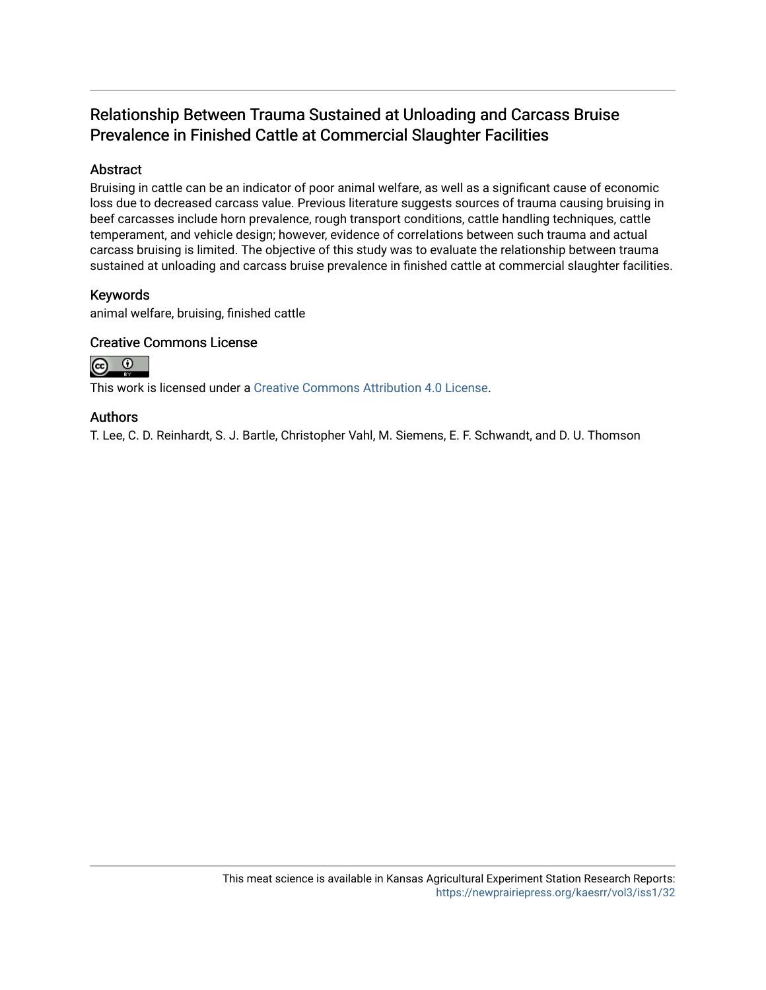## Relationship Between Trauma Sustained at Unloading and Carcass Bruise Prevalence in Finished Cattle at Commercial Slaughter Facilities

#### Abstract

Bruising in cattle can be an indicator of poor animal welfare, as well as a significant cause of economic loss due to decreased carcass value. Previous literature suggests sources of trauma causing bruising in beef carcasses include horn prevalence, rough transport conditions, cattle handling techniques, cattle temperament, and vehicle design; however, evidence of correlations between such trauma and actual carcass bruising is limited. The objective of this study was to evaluate the relationship between trauma sustained at unloading and carcass bruise prevalence in finished cattle at commercial slaughter facilities.

#### Keywords

animal welfare, bruising, finished cattle

#### Creative Commons License



This work is licensed under a [Creative Commons Attribution 4.0 License](https://creativecommons.org/licenses/by/4.0/).

#### Authors

T. Lee, C. D. Reinhardt, S. J. Bartle, Christopher Vahl, M. Siemens, E. F. Schwandt, and D. U. Thomson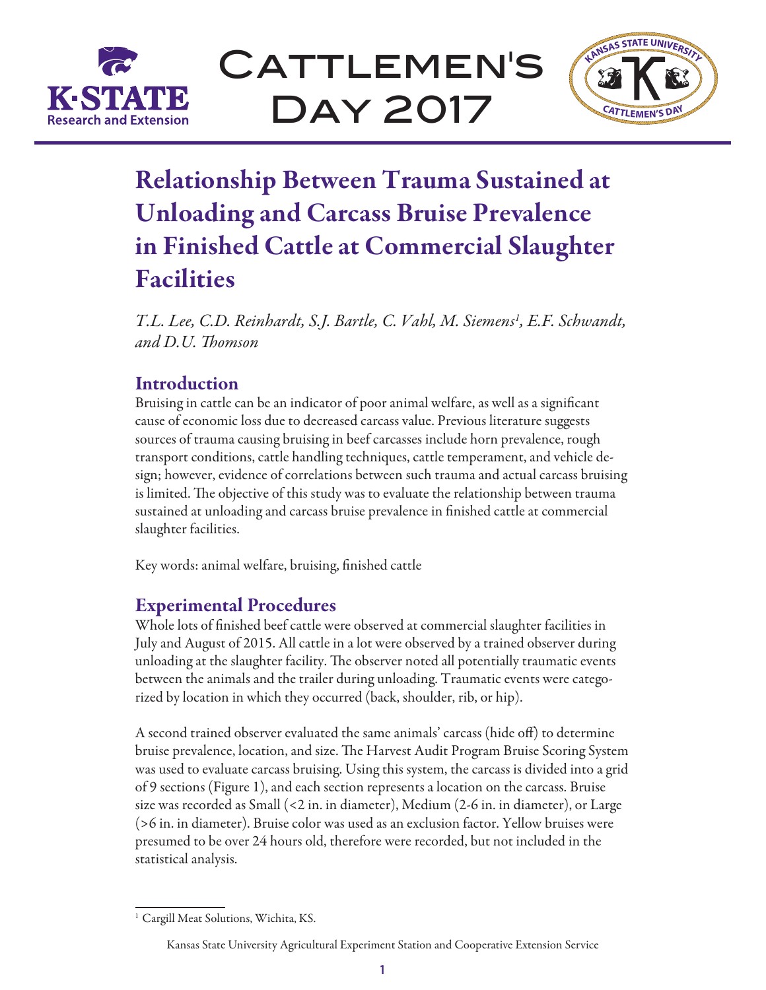

CATTLEMEN'S Day 2017



# Relationship Between Trauma Sustained at Unloading and Carcass Bruise Prevalence in Finished Cattle at Commercial Slaughter Facilities

T.L. Lee, C.D. Reinhardt, S.J. Bartle, C. Vahl, M. Siemens<sup>1</sup>, E.F. Schwandt, *and D.U. Thomson*

## **Introduction**

Bruising in cattle can be an indicator of poor animal welfare, as well as a significant cause of economic loss due to decreased carcass value. Previous literature suggests sources of trauma causing bruising in beef carcasses include horn prevalence, rough transport conditions, cattle handling techniques, cattle temperament, and vehicle design; however, evidence of correlations between such trauma and actual carcass bruising is limited. The objective of this study was to evaluate the relationship between trauma sustained at unloading and carcass bruise prevalence in finished cattle at commercial slaughter facilities.

Key words: animal welfare, bruising, finished cattle

## Experimental Procedures

Whole lots of finished beef cattle were observed at commercial slaughter facilities in July and August of 2015. All cattle in a lot were observed by a trained observer during unloading at the slaughter facility. The observer noted all potentially traumatic events between the animals and the trailer during unloading. Traumatic events were categorized by location in which they occurred (back, shoulder, rib, or hip).

A second trained observer evaluated the same animals' carcass (hide off) to determine bruise prevalence, location, and size. The Harvest Audit Program Bruise Scoring System was used to evaluate carcass bruising. Using this system, the carcass is divided into a grid of 9 sections (Figure 1), and each section represents a location on the carcass. Bruise size was recorded as Small (<2 in. in diameter), Medium (2-6 in. in diameter), or Large (>6 in. in diameter). Bruise color was used as an exclusion factor. Yellow bruises were presumed to be over 24 hours old, therefore were recorded, but not included in the statistical analysis.

<sup>&</sup>lt;sup>1</sup> Cargill Meat Solutions, Wichita, KS.

Kansas State University Agricultural Experiment Station and Cooperative Extension Service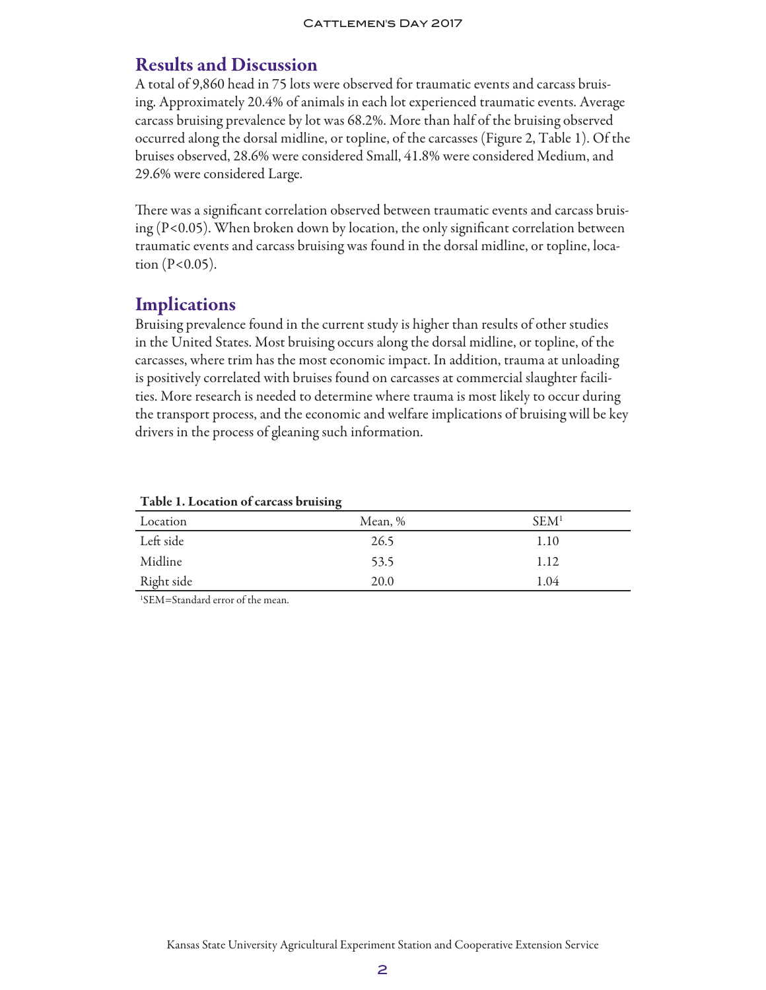## Results and Discussion

A total of 9,860 head in 75 lots were observed for traumatic events and carcass bruising. Approximately 20.4% of animals in each lot experienced traumatic events. Average carcass bruising prevalence by lot was 68.2%. More than half of the bruising observed occurred along the dorsal midline, or topline, of the carcasses (Figure 2, Table 1). Of the bruises observed, 28.6% were considered Small, 41.8% were considered Medium, and 29.6% were considered Large.

There was a significant correlation observed between traumatic events and carcass bruising (P<0.05). When broken down by location, the only significant correlation between traumatic events and carcass bruising was found in the dorsal midline, or topline, location  $(P<0.05)$ .

## **Implications**

Bruising prevalence found in the current study is higher than results of other studies in the United States. Most bruising occurs along the dorsal midline, or topline, of the carcasses, where trim has the most economic impact. In addition, trauma at unloading is positively correlated with bruises found on carcasses at commercial slaughter facilities. More research is needed to determine where trauma is most likely to occur during the transport process, and the economic and welfare implications of bruising will be key drivers in the process of gleaning such information.

|            | -       |                  |
|------------|---------|------------------|
| Location   | Mean, % | SEM <sup>1</sup> |
| Left side  | 26.5    | 1.10             |
| Midline    | 53.5    | 1.12             |
| Right side | 20.0    | 1.04             |
|            |         |                  |

#### Table 1. Location of carcass bruising

1 SEM=Standard error of the mean.